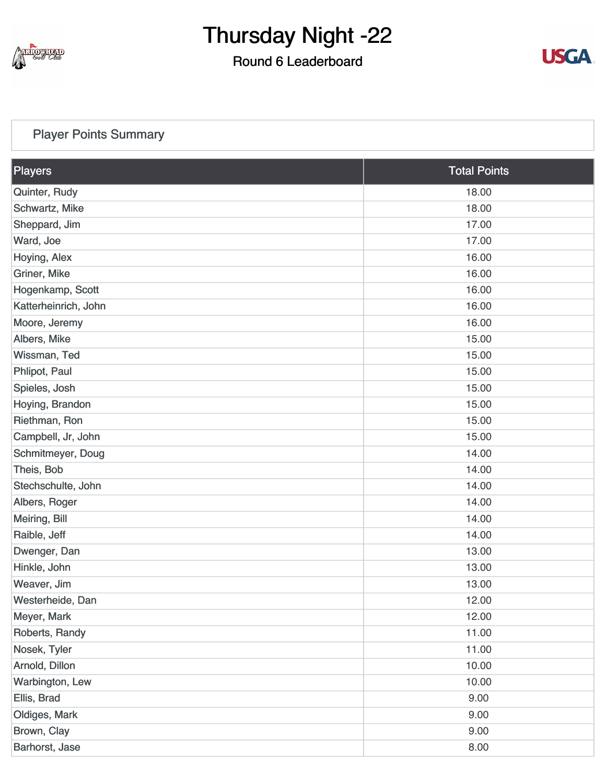

#### Round 6 Leaderboard



#### [Player Points Summary](https://static.golfgenius.com/v2tournaments/total_points?league_id=8410389304542504110&round_id=8410393919417755104)

| Players              | <b>Total Points</b> |
|----------------------|---------------------|
| Quinter, Rudy        | 18.00               |
| Schwartz, Mike       | 18.00               |
| Sheppard, Jim        | 17.00               |
| Ward, Joe            | 17.00               |
| Hoying, Alex         | 16.00               |
| Griner, Mike         | 16.00               |
| Hogenkamp, Scott     | 16.00               |
| Katterheinrich, John | 16.00               |
| Moore, Jeremy        | 16.00               |
| Albers, Mike         | 15.00               |
| Wissman, Ted         | 15.00               |
| Phlipot, Paul        | 15.00               |
| Spieles, Josh        | 15.00               |
| Hoying, Brandon      | 15.00               |
| Riethman, Ron        | 15.00               |
| Campbell, Jr, John   | 15.00               |
| Schmitmeyer, Doug    | 14.00               |
| Theis, Bob           | 14.00               |
| Stechschulte, John   | 14.00               |
| Albers, Roger        | 14.00               |
| Meiring, Bill        | 14.00               |
| Raible, Jeff         | 14.00               |
| Dwenger, Dan         | 13.00               |
| Hinkle, John         | 13.00               |
| Weaver, Jim          | 13.00               |
| Westerheide, Dan     | 12.00               |
| Meyer, Mark          | 12.00               |
| Roberts, Randy       | 11.00               |
| Nosek, Tyler         | 11.00               |
| Arnold, Dillon       | 10.00               |
| Warbington, Lew      | 10.00               |
| Ellis, Brad          | 9.00                |
| Oldiges, Mark        | 9.00                |
| Brown, Clay          | 9.00                |
| Barhorst, Jase       | 8.00                |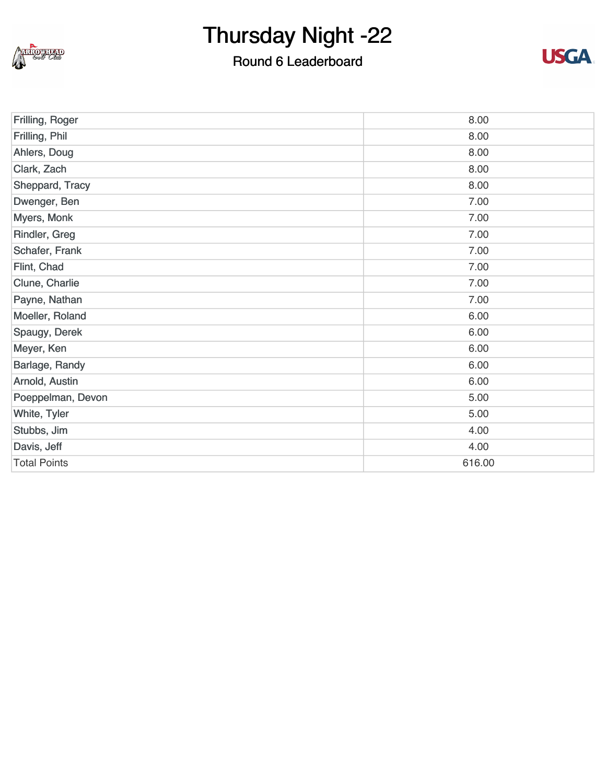

#### Round 6 Leaderboard



| Frilling, Roger     | 8.00   |
|---------------------|--------|
| Frilling, Phil      | 8.00   |
| Ahlers, Doug        | 8.00   |
| Clark, Zach         | 8.00   |
| Sheppard, Tracy     | 8.00   |
| Dwenger, Ben        | 7.00   |
| Myers, Monk         | 7.00   |
| Rindler, Greg       | 7.00   |
| Schafer, Frank      | 7.00   |
| Flint, Chad         | 7.00   |
| Clune, Charlie      | 7.00   |
| Payne, Nathan       | 7.00   |
| Moeller, Roland     | 6.00   |
| Spaugy, Derek       | 6.00   |
| Meyer, Ken          | 6.00   |
| Barlage, Randy      | 6.00   |
| Arnold, Austin      | 6.00   |
| Poeppelman, Devon   | 5.00   |
| White, Tyler        | 5.00   |
| Stubbs, Jim         | 4.00   |
| Davis, Jeff         | 4.00   |
| <b>Total Points</b> | 616.00 |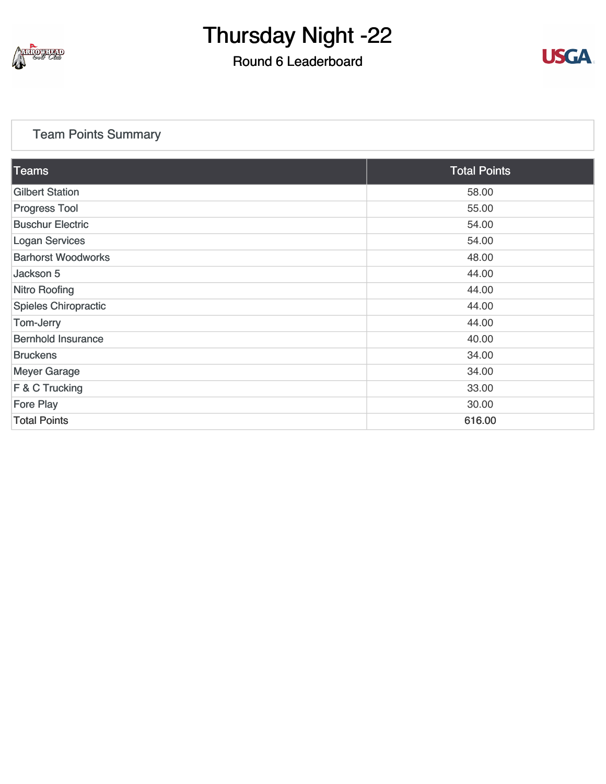

#### Round 6 Leaderboard



#### [Team Points Summary](https://static.golfgenius.com/v2tournaments/team_points?league_id=8410389304542504110&round_id=8410393919417755104)

| <b>Teams</b>                | <b>Total Points</b> |
|-----------------------------|---------------------|
| <b>Gilbert Station</b>      | 58.00               |
| <b>Progress Tool</b>        | 55.00               |
| <b>Buschur Electric</b>     | 54.00               |
| <b>Logan Services</b>       | 54.00               |
| <b>Barhorst Woodworks</b>   | 48.00               |
| Jackson 5                   | 44.00               |
| <b>Nitro Roofing</b>        | 44.00               |
| <b>Spieles Chiropractic</b> | 44.00               |
| Tom-Jerry                   | 44.00               |
| <b>Bernhold Insurance</b>   | 40.00               |
| <b>Bruckens</b>             | 34.00               |
| <b>Meyer Garage</b>         | 34.00               |
| $F$ & C Trucking            | 33.00               |
| <b>Fore Play</b>            | 30.00               |
| <b>Total Points</b>         | 616.00              |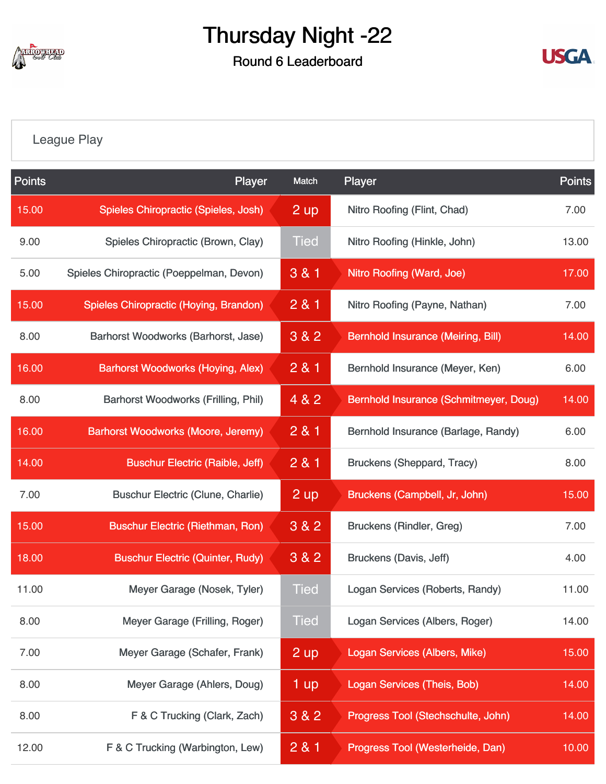

Round 6 Leaderboard



#### [League Play](https://static.golfgenius.com/v2tournaments/8410488019835954682?called_from=&round_index=6)

| <b>Points</b> | Player                                     | Match           | Player                                    | <b>Points</b> |
|---------------|--------------------------------------------|-----------------|-------------------------------------------|---------------|
| 15.00         | Spieles Chiropractic (Spieles, Josh)       | 2 up            | Nitro Roofing (Flint, Chad)               | 7.00          |
| 9.00          | Spieles Chiropractic (Brown, Clay)         | <b>Tied</b>     | Nitro Roofing (Hinkle, John)              | 13.00         |
| 5.00          | Spieles Chiropractic (Poeppelman, Devon)   | 3 & 1           | Nitro Roofing (Ward, Joe)                 | 17.00         |
| 15.00         | Spieles Chiropractic (Hoying, Brandon)     | 2 & 1           | Nitro Roofing (Payne, Nathan)             | 7.00          |
| 8.00          | Barhorst Woodworks (Barhorst, Jase)        | 3 & 2           | <b>Bernhold Insurance (Meiring, Bill)</b> | 14.00         |
| 16.00         | <b>Barhorst Woodworks (Hoying, Alex)</b>   | 2 & 1           | Bernhold Insurance (Meyer, Ken)           | 6.00          |
| 8.00          | <b>Barhorst Woodworks (Frilling, Phil)</b> | 4 & 2           | Bernhold Insurance (Schmitmeyer, Doug)    | 14.00         |
| 16.00         | <b>Barhorst Woodworks (Moore, Jeremy)</b>  | 281             | Bernhold Insurance (Barlage, Randy)       | 6.00          |
| 14.00         | <b>Buschur Electric (Raible, Jeff)</b>     | 2 & 1           | <b>Bruckens (Sheppard, Tracy)</b>         | 8.00          |
| 7.00          | <b>Buschur Electric (Clune, Charlie)</b>   | 2 up            | Bruckens (Campbell, Jr, John)             | 15.00         |
| 15.00         | <b>Buschur Electric (Riethman, Ron)</b>    | 3 & 2           | <b>Bruckens (Rindler, Greg)</b>           | 7.00          |
| 18.00         | <b>Buschur Electric (Quinter, Rudy)</b>    | 3 & 2           | Bruckens (Davis, Jeff)                    | 4.00          |
| 11.00         | Meyer Garage (Nosek, Tyler)                | <b>Tied</b>     | Logan Services (Roberts, Randy)           | 11.00         |
| 8.00          | Meyer Garage (Frilling, Roger)             | <b>Tied</b>     | Logan Services (Albers, Roger)            | 14.00         |
| 7.00          | Meyer Garage (Schafer, Frank)              | 2 up            | <b>Logan Services (Albers, Mike)</b>      | 15.00         |
| 8.00          | Meyer Garage (Ahlers, Doug)                | 1 <sub>up</sub> | <b>Logan Services (Theis, Bob)</b>        | 14.00         |
| 8.00          | F & C Trucking (Clark, Zach)               | 3 & 2           | Progress Tool (Stechschulte, John)        | 14.00         |
| 12.00         | F & C Trucking (Warbington, Lew)           | 281             | Progress Tool (Westerheide, Dan)          | 10.00         |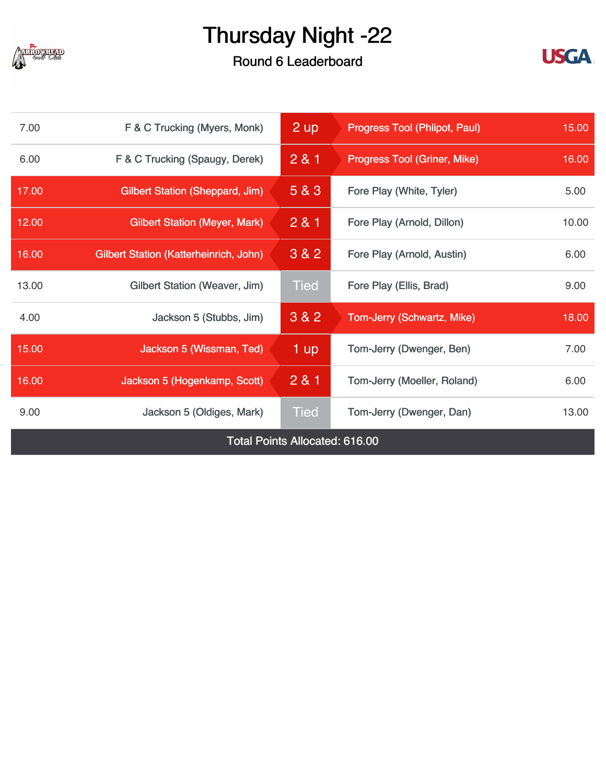

Round 6 Leaderboard



| 7.00                                  | F & C Trucking (Myers, Monk)                  | 2 up        | <b>Progress Tool (Phlipot, Paul)</b> | 15.00 |  |  |
|---------------------------------------|-----------------------------------------------|-------------|--------------------------------------|-------|--|--|
| 6.00                                  | F & C Trucking (Spaugy, Derek)                | 281         | <b>Progress Tool (Griner, Mike)</b>  |       |  |  |
| 17.00                                 | <b>Gilbert Station (Sheppard, Jim)</b>        | 5 & 3       | Fore Play (White, Tyler)             | 5.00  |  |  |
| 12.00                                 | <b>Gilbert Station (Meyer, Mark)</b>          | 2 & 1       | Fore Play (Arnold, Dillon)           | 10.00 |  |  |
| 16.00                                 | <b>Gilbert Station (Katterheinrich, John)</b> | 3 & 2       | Fore Play (Arnold, Austin)           | 6.00  |  |  |
| 13.00                                 | Gilbert Station (Weaver, Jim)                 | <b>Tied</b> | Fore Play (Ellis, Brad)              | 9.00  |  |  |
| 4.00                                  | Jackson 5 (Stubbs, Jim)                       | 3 & 2       | Tom-Jerry (Schwartz, Mike)           | 18.00 |  |  |
| 15.00                                 | Jackson 5 (Wissman, Ted)                      | 1 up        | Tom-Jerry (Dwenger, Ben)             | 7.00  |  |  |
| 16.00                                 | Jackson 5 (Hogenkamp, Scott)                  | 281         | Tom-Jerry (Moeller, Roland)          | 6.00  |  |  |
| 9.00                                  | Jackson 5 (Oldiges, Mark)                     | <b>Tied</b> | Tom-Jerry (Dwenger, Dan)             | 13.00 |  |  |
| <b>Total Points Allocated: 616.00</b> |                                               |             |                                      |       |  |  |